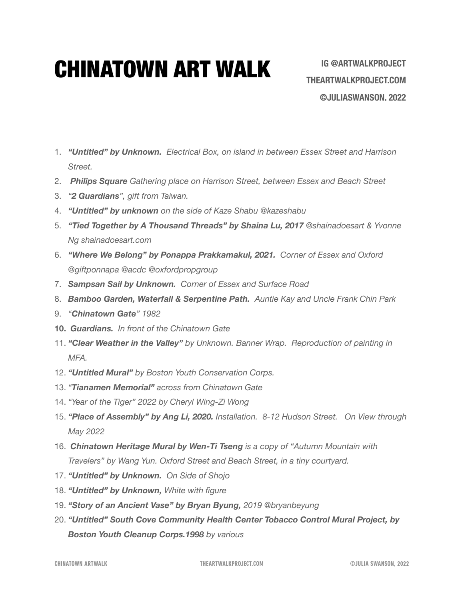## CHINATOWN ART WALK

- 1. *"Untitled" by Unknown. Electrical Box, on island in between Essex Street and Harrison Street.*
- 2. *Philips Square Gathering place on Harrison Street, between Essex and Beach Street*
- 3. *"2 Guardians", gift from Taiwan.*
- 4. *"Untitled" by unknown on the side of Kaze Shabu @kazeshabu*
- 5. *"Tied Together by A Thousand Threads" by Shaina Lu, 2017 @shainadoesart & Yvonne Ng shainadoesart.com*
- 6. *"Where We Belong" by Ponappa Prakkamakul, 2021. Corner of Essex and Oxford @giftponnapa @acdc @oxfordpropgroup*
- 7. *Sampsan Sail by Unknown. Corner of Essex and Surface Road*
- 8. *Bamboo Garden, Waterfall & Serpentine Path. Auntie Kay and Uncle Frank Chin Park*
- 9. *"Chinatown Gate" 1982*
- **10.** *Guardians. In front of the Chinatown Gate*
- 11. *"Clear Weather in the Valley" by Unknown. Banner Wrap. Reproduction of painting in MFA.*
- 12. *"Untitled Mural" by Boston Youth Conservation Corps.*
- 13. *"Tianamen Memorial" across from Chinatown Gate*
- 14. *"Year of the Tiger" 2022 by Cheryl Wing-Zi Wong*
- 15. *"Place of Assembly" by Ang Li, 2020. Installation. 8-12 Hudson Street. On View through May 2022*
- 16. *Chinatown Heritage Mural by Wen-Ti Tseng is a copy of "Autumn Mountain with Travelers" by Wang Yun. Oxford Street and Beach Street, in a tiny courtyard.*
- 17. *"Untitled" by Unknown. On Side of Shojo*
- 18. *"Untitled" by Unknown, White with figure*
- 19. *"Story of an Ancient Vase" by Bryan Byung, 2019 @bryanbeyung*
- 20. *"Untitled" South Cove Community Health Center Tobacco Control Mural Project, by Boston Youth Cleanup Corps.1998 by various*